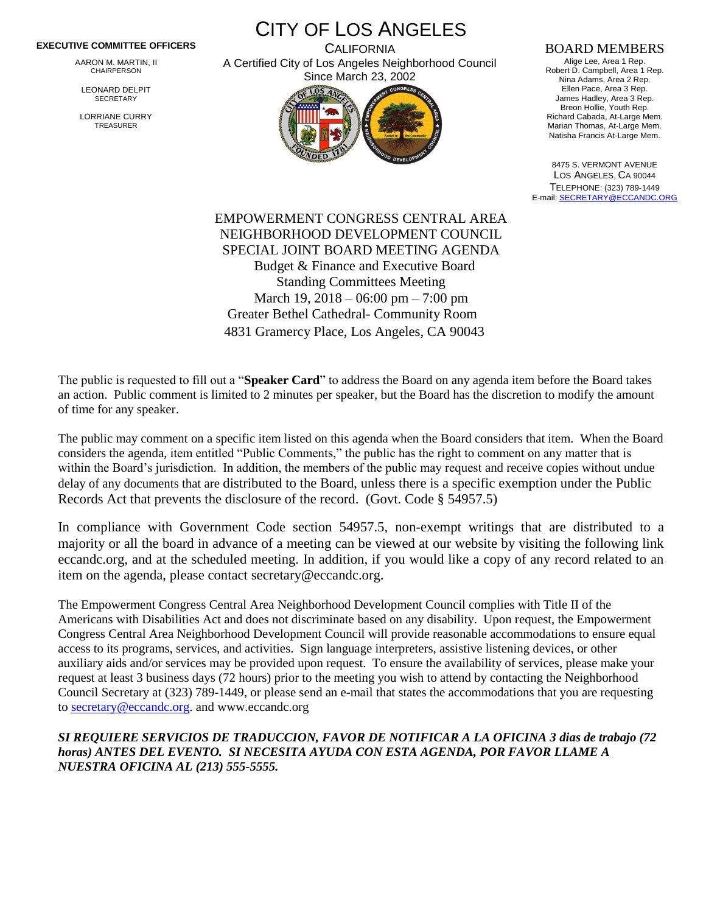## **EXECUTIVE COMMITTEE OFFICERS**

AARON M. MARTIN, II CHAIRPERSON

LEONARD DELPIT **SECRETARY** 

LORRIANE CURRY TREASURER

CITY OF LOS ANGELES **CALIFORNIA** 

A Certified City of Los Angeles Neighborhood Council Since March 23, 2002



## BOARD MEMBERS

Alige Lee, Area 1 Rep. Robert D. Campbell, Area 1 Rep. Nina Adams, Area 2 Rep. Ellen Pace, Area 3 Rep. James Hadley, Area 3 Rep. Breon Hollie, Youth Rep. Richard Cabada, At-Large Mem. Marian Thomas, At-Large Mem. Natisha Francis At-Large Mem.

8475 S. VERMONT AVENUE LOS ANGELES, CA 90044 TELEPHONE: (323) 789-1449 E-mail[: SECRETARY@ECCANDC.ORG](mailto:SECRETARY@ECCANDC.ORG)

EMPOWERMENT CONGRESS CENTRAL AREA NEIGHBORHOOD DEVELOPMENT COUNCIL SPECIAL JOINT BOARD MEETING AGENDA Budget & Finance and Executive Board Standing Committees Meeting March 19, 2018 – 06:00 pm – 7:00 pm Greater Bethel Cathedral- Community Room 4831 Gramercy Place, Los Angeles, CA 90043

The public is requested to fill out a "**Speaker Card**" to address the Board on any agenda item before the Board takes an action. Public comment is limited to 2 minutes per speaker, but the Board has the discretion to modify the amount of time for any speaker.

The public may comment on a specific item listed on this agenda when the Board considers that item. When the Board considers the agenda, item entitled "Public Comments," the public has the right to comment on any matter that is within the Board's jurisdiction. In addition, the members of the public may request and receive copies without undue delay of any documents that are distributed to the Board, unless there is a specific exemption under the Public Records Act that prevents the disclosure of the record. (Govt. Code § 54957.5)

In compliance with Government Code section 54957.5, non-exempt writings that are distributed to a majority or all the board in advance of a meeting can be viewed at our website by visiting the following link eccandc.org, and at the scheduled meeting. In addition, if you would like a copy of any record related to an item on the agenda, please contact secretary@eccandc.org.

The Empowerment Congress Central Area Neighborhood Development Council complies with Title II of the Americans with Disabilities Act and does not discriminate based on any disability. Upon request, the Empowerment Congress Central Area Neighborhood Development Council will provide reasonable accommodations to ensure equal access to its programs, services, and activities. Sign language interpreters, assistive listening devices, or other auxiliary aids and/or services may be provided upon request. To ensure the availability of services, please make your request at least 3 business days (72 hours) prior to the meeting you wish to attend by contacting the Neighborhood Council Secretary at (323) 789-1449, or please send an e-mail that states the accommodations that you are requesting t[o secretary@eccandc.org.](mailto:secretary@eccandc.org) and www.eccandc.org

*SI REQUIERE SERVICIOS DE TRADUCCION, FAVOR DE NOTIFICAR A LA OFICINA 3 dias de trabajo (72 horas) ANTES DEL EVENTO. SI NECESITA AYUDA CON ESTA AGENDA, POR FAVOR LLAME A NUESTRA OFICINA AL (213) 555-5555.*